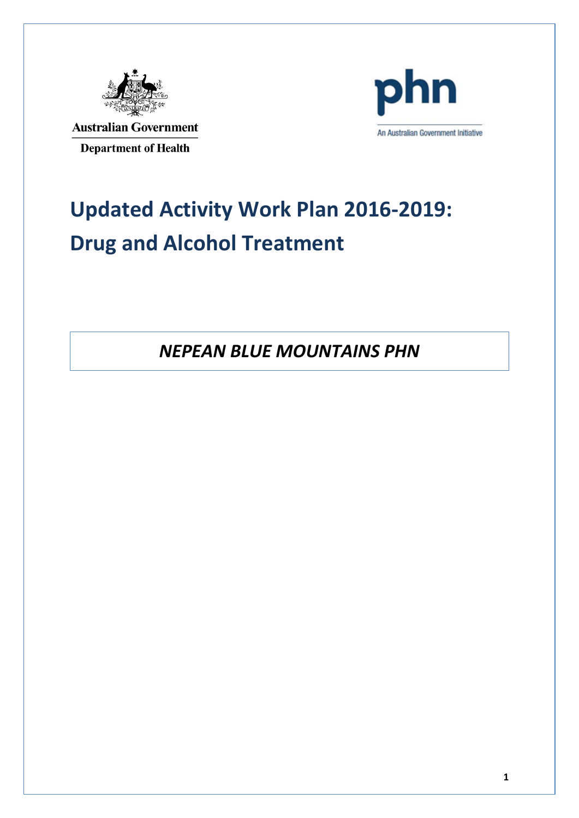

**Australian Government Department of Health** 



# **Updated Activity Work Plan 2016-2019: Drug and Alcohol Treatment**

*NEPEAN BLUE MOUNTAINS PHN*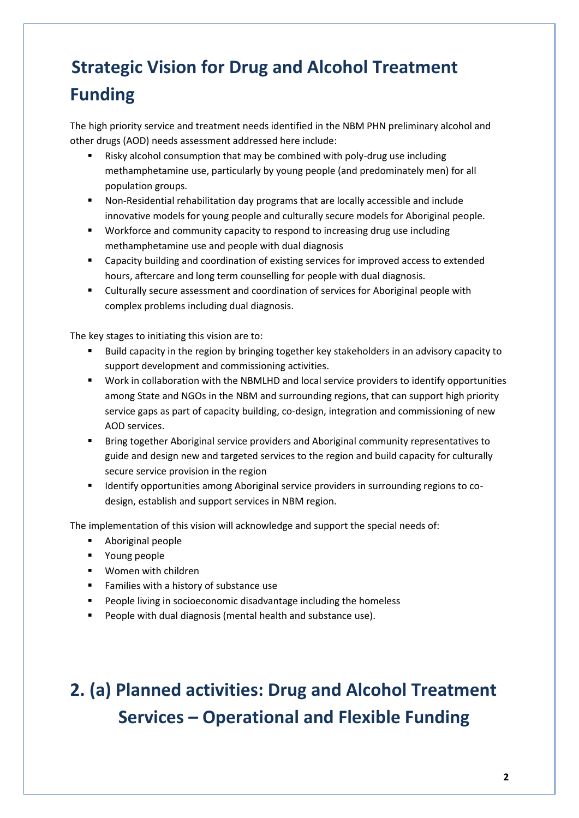#### **Strategic Vision for Drug and Alcohol Treatment Funding**

The high priority service and treatment needs identified in the NBM PHN preliminary alcohol and other drugs (AOD) needs assessment addressed here include:

- Risky alcohol consumption that may be combined with poly-drug use including methamphetamine use, particularly by young people (and predominately men) for all population groups.
- Non-Residential rehabilitation day programs that are locally accessible and include innovative models for young people and culturally secure models for Aboriginal people.
- Workforce and community capacity to respond to increasing drug use including methamphetamine use and people with dual diagnosis
- Capacity building and coordination of existing services for improved access to extended hours, aftercare and long term counselling for people with dual diagnosis.
- Culturally secure assessment and coordination of services for Aboriginal people with complex problems including dual diagnosis.

The key stages to initiating this vision are to:

- Build capacity in the region by bringing together key stakeholders in an advisory capacity to support development and commissioning activities.
- Work in collaboration with the NBMLHD and local service providers to identify opportunities among State and NGOs in the NBM and surrounding regions, that can support high priority service gaps as part of capacity building, co-design, integration and commissioning of new AOD services.
- **Bring together Aboriginal service providers and Aboriginal community representatives to** guide and design new and targeted services to the region and build capacity for culturally secure service provision in the region
- **IDENTIFY IDENTIFY** opportunities among Aboriginal service providers in surrounding regions to codesign, establish and support services in NBM region.

The implementation of this vision will acknowledge and support the special needs of:

- **Aboriginal people**
- **•** Young people
- **Women with children**
- **Families with a history of substance use**
- **People living in socioeconomic disadvantage including the homeless**
- **People with dual diagnosis (mental health and substance use).**

#### **2. (a) Planned activities: Drug and Alcohol Treatment Services – Operational and Flexible Funding**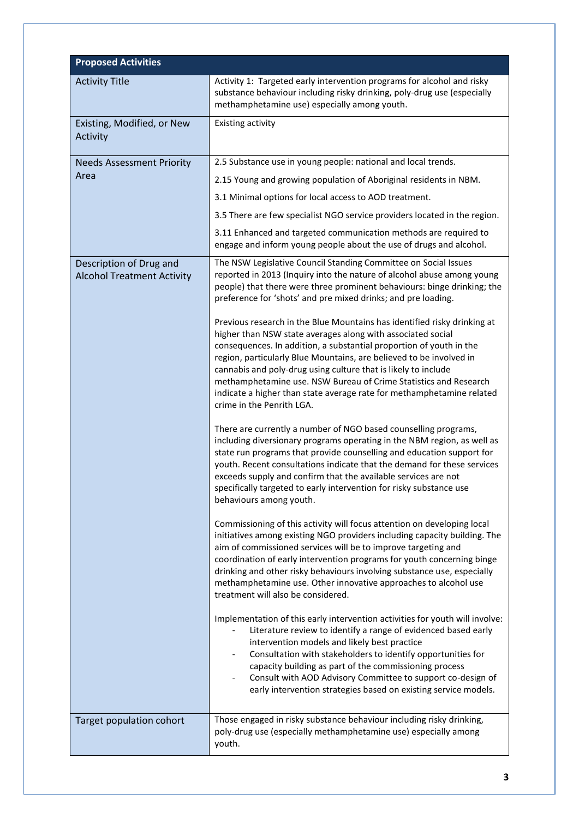| <b>Proposed Activities</b>                                   |                                                                                                                                                                                                                                                                                                                                                                                                                                                                                                                                   |
|--------------------------------------------------------------|-----------------------------------------------------------------------------------------------------------------------------------------------------------------------------------------------------------------------------------------------------------------------------------------------------------------------------------------------------------------------------------------------------------------------------------------------------------------------------------------------------------------------------------|
| <b>Activity Title</b>                                        | Activity 1: Targeted early intervention programs for alcohol and risky<br>substance behaviour including risky drinking, poly-drug use (especially<br>methamphetamine use) especially among youth.                                                                                                                                                                                                                                                                                                                                 |
| Existing, Modified, or New<br><b>Activity</b>                | Existing activity                                                                                                                                                                                                                                                                                                                                                                                                                                                                                                                 |
| <b>Needs Assessment Priority</b>                             | 2.5 Substance use in young people: national and local trends.                                                                                                                                                                                                                                                                                                                                                                                                                                                                     |
| Area                                                         | 2.15 Young and growing population of Aboriginal residents in NBM.                                                                                                                                                                                                                                                                                                                                                                                                                                                                 |
|                                                              | 3.1 Minimal options for local access to AOD treatment.                                                                                                                                                                                                                                                                                                                                                                                                                                                                            |
|                                                              | 3.5 There are few specialist NGO service providers located in the region.                                                                                                                                                                                                                                                                                                                                                                                                                                                         |
|                                                              | 3.11 Enhanced and targeted communication methods are required to<br>engage and inform young people about the use of drugs and alcohol.                                                                                                                                                                                                                                                                                                                                                                                            |
| Description of Drug and<br><b>Alcohol Treatment Activity</b> | The NSW Legislative Council Standing Committee on Social Issues<br>reported in 2013 (Inquiry into the nature of alcohol abuse among young<br>people) that there were three prominent behaviours: binge drinking; the<br>preference for 'shots' and pre mixed drinks; and pre loading.                                                                                                                                                                                                                                             |
|                                                              | Previous research in the Blue Mountains has identified risky drinking at<br>higher than NSW state averages along with associated social<br>consequences. In addition, a substantial proportion of youth in the<br>region, particularly Blue Mountains, are believed to be involved in<br>cannabis and poly-drug using culture that is likely to include<br>methamphetamine use. NSW Bureau of Crime Statistics and Research<br>indicate a higher than state average rate for methamphetamine related<br>crime in the Penrith LGA. |
|                                                              | There are currently a number of NGO based counselling programs,<br>including diversionary programs operating in the NBM region, as well as<br>state run programs that provide counselling and education support for<br>youth. Recent consultations indicate that the demand for these services<br>exceeds supply and confirm that the available services are not<br>specifically targeted to early intervention for risky substance use<br>behaviours among youth.                                                                |
|                                                              | Commissioning of this activity will focus attention on developing local<br>initiatives among existing NGO providers including capacity building. The<br>aim of commissioned services will be to improve targeting and<br>coordination of early intervention programs for youth concerning binge<br>drinking and other risky behaviours involving substance use, especially<br>methamphetamine use. Other innovative approaches to alcohol use<br>treatment will also be considered.                                               |
|                                                              | Implementation of this early intervention activities for youth will involve:<br>Literature review to identify a range of evidenced based early<br>intervention models and likely best practice<br>Consultation with stakeholders to identify opportunities for<br>$\overline{\phantom{a}}$<br>capacity building as part of the commissioning process<br>Consult with AOD Advisory Committee to support co-design of<br>$\overline{\phantom{a}}$<br>early intervention strategies based on existing service models.                |
| Target population cohort                                     | Those engaged in risky substance behaviour including risky drinking,<br>poly-drug use (especially methamphetamine use) especially among<br>youth.                                                                                                                                                                                                                                                                                                                                                                                 |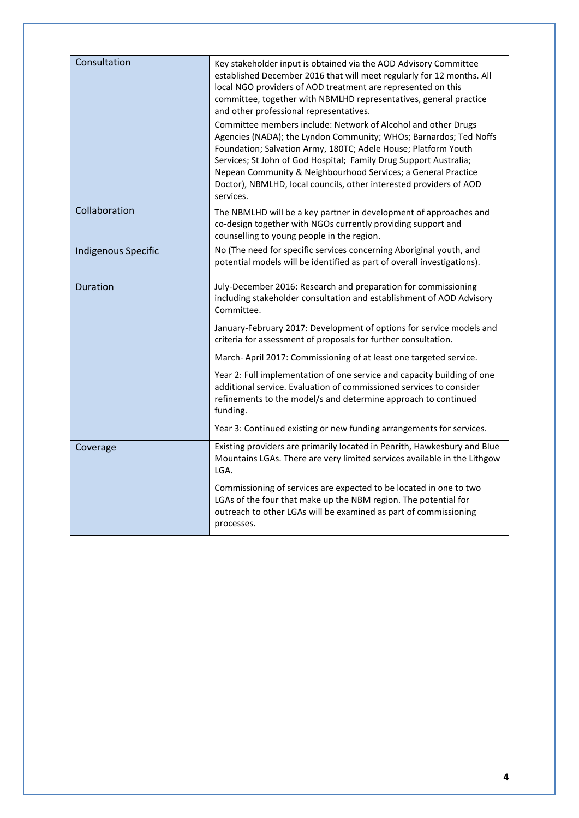| Consultation               | Key stakeholder input is obtained via the AOD Advisory Committee<br>established December 2016 that will meet regularly for 12 months. All<br>local NGO providers of AOD treatment are represented on this<br>committee, together with NBMLHD representatives, general practice<br>and other professional representatives.<br>Committee members include: Network of Alcohol and other Drugs<br>Agencies (NADA); the Lyndon Community; WHOs; Barnardos; Ted Noffs<br>Foundation; Salvation Army, 180TC; Adele House; Platform Youth<br>Services; St John of God Hospital; Family Drug Support Australia;<br>Nepean Community & Neighbourhood Services; a General Practice<br>Doctor), NBMLHD, local councils, other interested providers of AOD<br>services. |
|----------------------------|------------------------------------------------------------------------------------------------------------------------------------------------------------------------------------------------------------------------------------------------------------------------------------------------------------------------------------------------------------------------------------------------------------------------------------------------------------------------------------------------------------------------------------------------------------------------------------------------------------------------------------------------------------------------------------------------------------------------------------------------------------|
| Collaboration              | The NBMLHD will be a key partner in development of approaches and<br>co-design together with NGOs currently providing support and<br>counselling to young people in the region.                                                                                                                                                                                                                                                                                                                                                                                                                                                                                                                                                                            |
| <b>Indigenous Specific</b> | No (The need for specific services concerning Aboriginal youth, and<br>potential models will be identified as part of overall investigations).                                                                                                                                                                                                                                                                                                                                                                                                                                                                                                                                                                                                             |
| <b>Duration</b>            | July-December 2016: Research and preparation for commissioning<br>including stakeholder consultation and establishment of AOD Advisory<br>Committee.                                                                                                                                                                                                                                                                                                                                                                                                                                                                                                                                                                                                       |
|                            | January-February 2017: Development of options for service models and<br>criteria for assessment of proposals for further consultation.                                                                                                                                                                                                                                                                                                                                                                                                                                                                                                                                                                                                                     |
|                            | March-April 2017: Commissioning of at least one targeted service.                                                                                                                                                                                                                                                                                                                                                                                                                                                                                                                                                                                                                                                                                          |
|                            | Year 2: Full implementation of one service and capacity building of one<br>additional service. Evaluation of commissioned services to consider<br>refinements to the model/s and determine approach to continued<br>funding.                                                                                                                                                                                                                                                                                                                                                                                                                                                                                                                               |
|                            | Year 3: Continued existing or new funding arrangements for services.                                                                                                                                                                                                                                                                                                                                                                                                                                                                                                                                                                                                                                                                                       |
| Coverage                   | Existing providers are primarily located in Penrith, Hawkesbury and Blue<br>Mountains LGAs. There are very limited services available in the Lithgow<br>LGA.                                                                                                                                                                                                                                                                                                                                                                                                                                                                                                                                                                                               |
|                            | Commissioning of services are expected to be located in one to two<br>LGAs of the four that make up the NBM region. The potential for<br>outreach to other LGAs will be examined as part of commissioning<br>processes.                                                                                                                                                                                                                                                                                                                                                                                                                                                                                                                                    |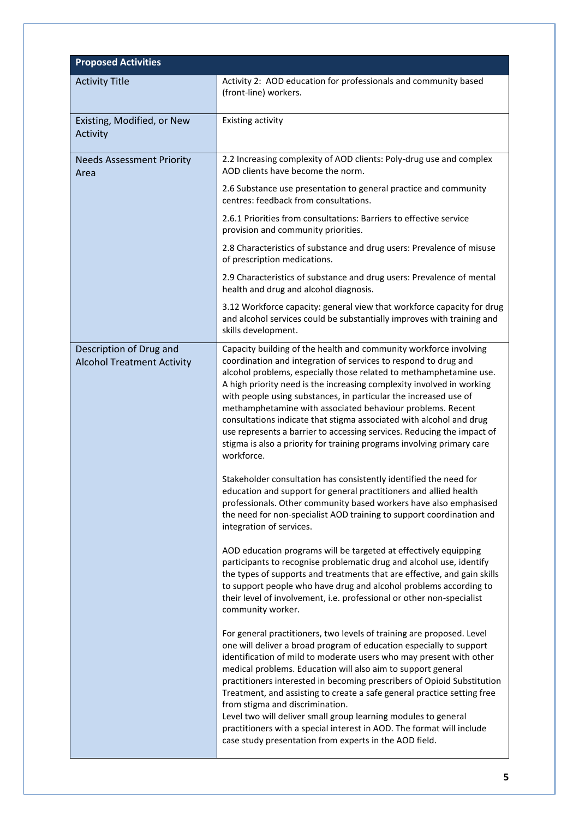| <b>Proposed Activities</b>                                   |                                                                                                                                                                                                                                                                                                                                                                                                                                                                                                                                                                                                                                                                                   |
|--------------------------------------------------------------|-----------------------------------------------------------------------------------------------------------------------------------------------------------------------------------------------------------------------------------------------------------------------------------------------------------------------------------------------------------------------------------------------------------------------------------------------------------------------------------------------------------------------------------------------------------------------------------------------------------------------------------------------------------------------------------|
| <b>Activity Title</b>                                        | Activity 2: AOD education for professionals and community based<br>(front-line) workers.                                                                                                                                                                                                                                                                                                                                                                                                                                                                                                                                                                                          |
| Existing, Modified, or New<br>Activity                       | Existing activity                                                                                                                                                                                                                                                                                                                                                                                                                                                                                                                                                                                                                                                                 |
| <b>Needs Assessment Priority</b><br>Area                     | 2.2 Increasing complexity of AOD clients: Poly-drug use and complex<br>AOD clients have become the norm.                                                                                                                                                                                                                                                                                                                                                                                                                                                                                                                                                                          |
|                                                              | 2.6 Substance use presentation to general practice and community<br>centres: feedback from consultations.                                                                                                                                                                                                                                                                                                                                                                                                                                                                                                                                                                         |
|                                                              | 2.6.1 Priorities from consultations: Barriers to effective service<br>provision and community priorities.                                                                                                                                                                                                                                                                                                                                                                                                                                                                                                                                                                         |
|                                                              | 2.8 Characteristics of substance and drug users: Prevalence of misuse<br>of prescription medications.                                                                                                                                                                                                                                                                                                                                                                                                                                                                                                                                                                             |
|                                                              | 2.9 Characteristics of substance and drug users: Prevalence of mental<br>health and drug and alcohol diagnosis.                                                                                                                                                                                                                                                                                                                                                                                                                                                                                                                                                                   |
|                                                              | 3.12 Workforce capacity: general view that workforce capacity for drug<br>and alcohol services could be substantially improves with training and<br>skills development.                                                                                                                                                                                                                                                                                                                                                                                                                                                                                                           |
| Description of Drug and<br><b>Alcohol Treatment Activity</b> | Capacity building of the health and community workforce involving<br>coordination and integration of services to respond to drug and<br>alcohol problems, especially those related to methamphetamine use.<br>A high priority need is the increasing complexity involved in working<br>with people using substances, in particular the increased use of<br>methamphetamine with associated behaviour problems. Recent<br>consultations indicate that stigma associated with alcohol and drug<br>use represents a barrier to accessing services. Reducing the impact of<br>stigma is also a priority for training programs involving primary care<br>workforce.                    |
|                                                              | Stakeholder consultation has consistently identified the need for<br>education and support for general practitioners and allied health<br>professionals. Other community based workers have also emphasised<br>the need for non-specialist AOD training to support coordination and<br>integration of services.                                                                                                                                                                                                                                                                                                                                                                   |
|                                                              | AOD education programs will be targeted at effectively equipping<br>participants to recognise problematic drug and alcohol use, identify<br>the types of supports and treatments that are effective, and gain skills<br>to support people who have drug and alcohol problems according to<br>their level of involvement, i.e. professional or other non-specialist<br>community worker.                                                                                                                                                                                                                                                                                           |
|                                                              | For general practitioners, two levels of training are proposed. Level<br>one will deliver a broad program of education especially to support<br>identification of mild to moderate users who may present with other<br>medical problems. Education will also aim to support general<br>practitioners interested in becoming prescribers of Opioid Substitution<br>Treatment, and assisting to create a safe general practice setting free<br>from stigma and discrimination.<br>Level two will deliver small group learning modules to general<br>practitioners with a special interest in AOD. The format will include<br>case study presentation from experts in the AOD field. |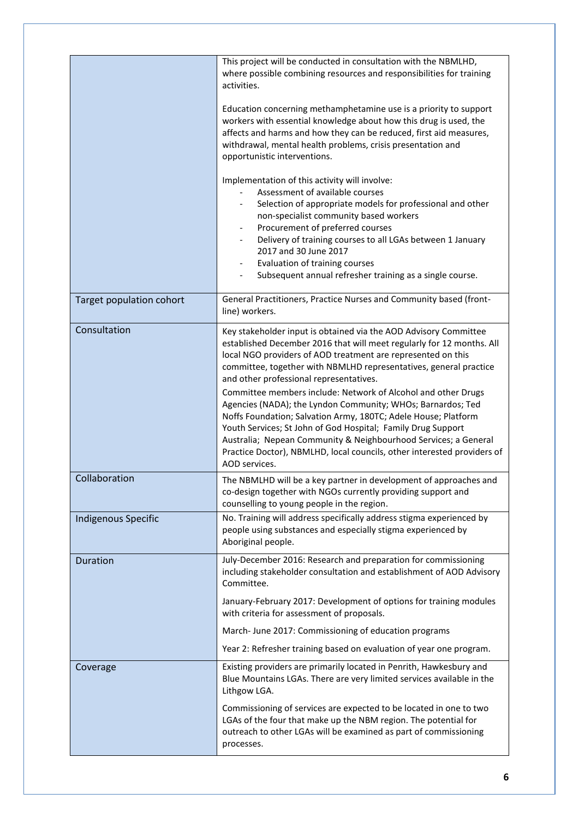|                            | This project will be conducted in consultation with the NBMLHD,<br>where possible combining resources and responsibilities for training<br>activities.<br>Education concerning methamphetamine use is a priority to support<br>workers with essential knowledge about how this drug is used, the<br>affects and harms and how they can be reduced, first aid measures,<br>withdrawal, mental health problems, crisis presentation and<br>opportunistic interventions.<br>Implementation of this activity will involve:<br>Assessment of available courses<br>Selection of appropriate models for professional and other<br>non-specialist community based workers<br>Procurement of preferred courses<br>$\overline{\phantom{a}}$<br>Delivery of training courses to all LGAs between 1 January<br>$\overline{\phantom{a}}$<br>2017 and 30 June 2017<br>Evaluation of training courses<br>Subsequent annual refresher training as a single course. |
|----------------------------|----------------------------------------------------------------------------------------------------------------------------------------------------------------------------------------------------------------------------------------------------------------------------------------------------------------------------------------------------------------------------------------------------------------------------------------------------------------------------------------------------------------------------------------------------------------------------------------------------------------------------------------------------------------------------------------------------------------------------------------------------------------------------------------------------------------------------------------------------------------------------------------------------------------------------------------------------|
| Target population cohort   | General Practitioners, Practice Nurses and Community based (front-<br>line) workers.                                                                                                                                                                                                                                                                                                                                                                                                                                                                                                                                                                                                                                                                                                                                                                                                                                                               |
| Consultation               | Key stakeholder input is obtained via the AOD Advisory Committee<br>established December 2016 that will meet regularly for 12 months. All<br>local NGO providers of AOD treatment are represented on this<br>committee, together with NBMLHD representatives, general practice<br>and other professional representatives.<br>Committee members include: Network of Alcohol and other Drugs<br>Agencies (NADA); the Lyndon Community; WHOs; Barnardos; Ted<br>Noffs Foundation; Salvation Army, 180TC; Adele House; Platform<br>Youth Services; St John of God Hospital; Family Drug Support<br>Australia; Nepean Community & Neighbourhood Services; a General<br>Practice Doctor), NBMLHD, local councils, other interested providers of<br>AOD services.                                                                                                                                                                                         |
| Collaboration              | The NBMLHD will be a key partner in development of approaches and<br>co-design together with NGOs currently providing support and<br>counselling to young people in the region.                                                                                                                                                                                                                                                                                                                                                                                                                                                                                                                                                                                                                                                                                                                                                                    |
| <b>Indigenous Specific</b> | No. Training will address specifically address stigma experienced by<br>people using substances and especially stigma experienced by<br>Aboriginal people.                                                                                                                                                                                                                                                                                                                                                                                                                                                                                                                                                                                                                                                                                                                                                                                         |
| <b>Duration</b>            | July-December 2016: Research and preparation for commissioning<br>including stakeholder consultation and establishment of AOD Advisory<br>Committee.<br>January-February 2017: Development of options for training modules<br>with criteria for assessment of proposals.<br>March-June 2017: Commissioning of education programs<br>Year 2: Refresher training based on evaluation of year one program.                                                                                                                                                                                                                                                                                                                                                                                                                                                                                                                                            |
| Coverage                   | Existing providers are primarily located in Penrith, Hawkesbury and<br>Blue Mountains LGAs. There are very limited services available in the<br>Lithgow LGA.<br>Commissioning of services are expected to be located in one to two<br>LGAs of the four that make up the NBM region. The potential for<br>outreach to other LGAs will be examined as part of commissioning<br>processes.                                                                                                                                                                                                                                                                                                                                                                                                                                                                                                                                                            |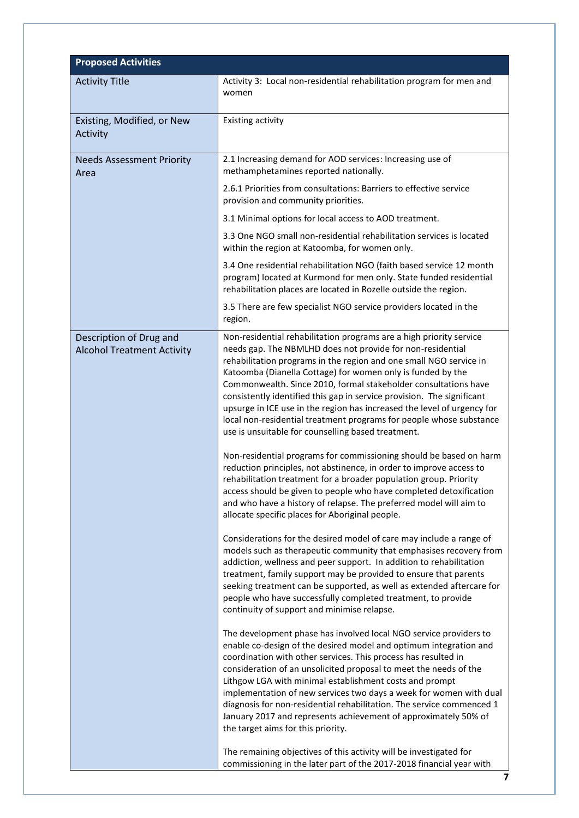| <b>Proposed Activities</b>                                   |                                                                                                                                                                                                                                                                                                                                                                                                                                                                                                                                                                                                                             |
|--------------------------------------------------------------|-----------------------------------------------------------------------------------------------------------------------------------------------------------------------------------------------------------------------------------------------------------------------------------------------------------------------------------------------------------------------------------------------------------------------------------------------------------------------------------------------------------------------------------------------------------------------------------------------------------------------------|
| <b>Activity Title</b>                                        | Activity 3: Local non-residential rehabilitation program for men and                                                                                                                                                                                                                                                                                                                                                                                                                                                                                                                                                        |
|                                                              | women                                                                                                                                                                                                                                                                                                                                                                                                                                                                                                                                                                                                                       |
| Existing, Modified, or New                                   | Existing activity                                                                                                                                                                                                                                                                                                                                                                                                                                                                                                                                                                                                           |
| Activity                                                     |                                                                                                                                                                                                                                                                                                                                                                                                                                                                                                                                                                                                                             |
| <b>Needs Assessment Priority</b>                             | 2.1 Increasing demand for AOD services: Increasing use of                                                                                                                                                                                                                                                                                                                                                                                                                                                                                                                                                                   |
| Area                                                         | methamphetamines reported nationally.                                                                                                                                                                                                                                                                                                                                                                                                                                                                                                                                                                                       |
|                                                              | 2.6.1 Priorities from consultations: Barriers to effective service<br>provision and community priorities.                                                                                                                                                                                                                                                                                                                                                                                                                                                                                                                   |
|                                                              | 3.1 Minimal options for local access to AOD treatment.                                                                                                                                                                                                                                                                                                                                                                                                                                                                                                                                                                      |
|                                                              | 3.3 One NGO small non-residential rehabilitation services is located<br>within the region at Katoomba, for women only.                                                                                                                                                                                                                                                                                                                                                                                                                                                                                                      |
|                                                              | 3.4 One residential rehabilitation NGO (faith based service 12 month<br>program) located at Kurmond for men only. State funded residential<br>rehabilitation places are located in Rozelle outside the region.                                                                                                                                                                                                                                                                                                                                                                                                              |
|                                                              | 3.5 There are few specialist NGO service providers located in the<br>region.                                                                                                                                                                                                                                                                                                                                                                                                                                                                                                                                                |
| Description of Drug and<br><b>Alcohol Treatment Activity</b> | Non-residential rehabilitation programs are a high priority service<br>needs gap. The NBMLHD does not provide for non-residential<br>rehabilitation programs in the region and one small NGO service in<br>Katoomba (Dianella Cottage) for women only is funded by the<br>Commonwealth. Since 2010, formal stakeholder consultations have<br>consistently identified this gap in service provision. The significant<br>upsurge in ICE use in the region has increased the level of urgency for<br>local non-residential treatment programs for people whose substance<br>use is unsuitable for counselling based treatment. |
|                                                              | Non-residential programs for commissioning should be based on harm<br>reduction principles, not abstinence, in order to improve access to<br>rehabilitation treatment for a broader population group. Priority<br>access should be given to people who have completed detoxification<br>and who have a history of relapse. The preferred model will aim to<br>allocate specific places for Aboriginal people.                                                                                                                                                                                                               |
|                                                              | Considerations for the desired model of care may include a range of<br>models such as therapeutic community that emphasises recovery from<br>addiction, wellness and peer support. In addition to rehabilitation<br>treatment, family support may be provided to ensure that parents<br>seeking treatment can be supported, as well as extended aftercare for<br>people who have successfully completed treatment, to provide<br>continuity of support and minimise relapse.                                                                                                                                                |
|                                                              | The development phase has involved local NGO service providers to<br>enable co-design of the desired model and optimum integration and<br>coordination with other services. This process has resulted in<br>consideration of an unsolicited proposal to meet the needs of the<br>Lithgow LGA with minimal establishment costs and prompt<br>implementation of new services two days a week for women with dual<br>diagnosis for non-residential rehabilitation. The service commenced 1<br>January 2017 and represents achievement of approximately 50% of<br>the target aims for this priority.                            |
|                                                              | The remaining objectives of this activity will be investigated for<br>commissioning in the later part of the 2017-2018 financial year with<br>7                                                                                                                                                                                                                                                                                                                                                                                                                                                                             |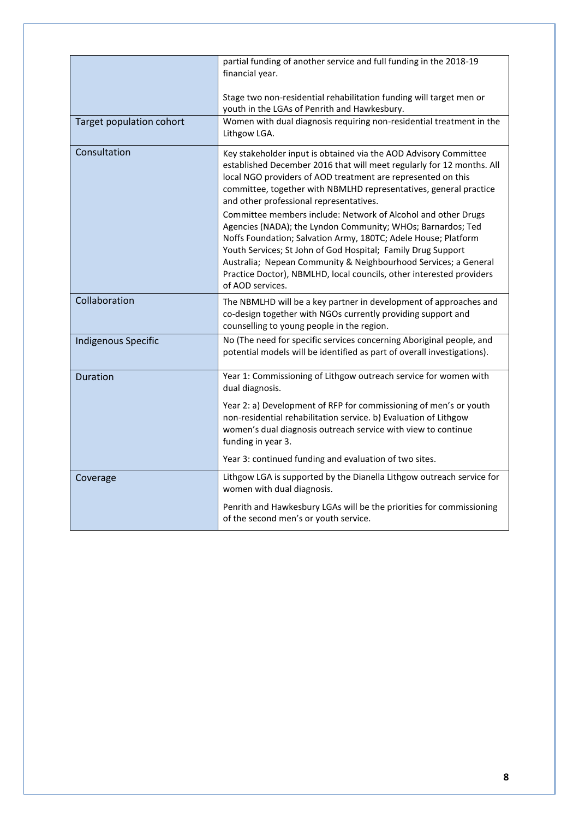|                            | partial funding of another service and full funding in the 2018-19<br>financial year.                                                                                                                                                                                                                                                                                                                                         |
|----------------------------|-------------------------------------------------------------------------------------------------------------------------------------------------------------------------------------------------------------------------------------------------------------------------------------------------------------------------------------------------------------------------------------------------------------------------------|
|                            | Stage two non-residential rehabilitation funding will target men or<br>youth in the LGAs of Penrith and Hawkesbury.                                                                                                                                                                                                                                                                                                           |
| Target population cohort   | Women with dual diagnosis requiring non-residential treatment in the<br>Lithgow LGA.                                                                                                                                                                                                                                                                                                                                          |
| Consultation               | Key stakeholder input is obtained via the AOD Advisory Committee<br>established December 2016 that will meet regularly for 12 months. All<br>local NGO providers of AOD treatment are represented on this<br>committee, together with NBMLHD representatives, general practice<br>and other professional representatives.                                                                                                     |
|                            | Committee members include: Network of Alcohol and other Drugs<br>Agencies (NADA); the Lyndon Community; WHOs; Barnardos; Ted<br>Noffs Foundation; Salvation Army, 180TC; Adele House; Platform<br>Youth Services; St John of God Hospital; Family Drug Support<br>Australia; Nepean Community & Neighbourhood Services; a General<br>Practice Doctor), NBMLHD, local councils, other interested providers<br>of AOD services. |
| Collaboration              | The NBMLHD will be a key partner in development of approaches and<br>co-design together with NGOs currently providing support and<br>counselling to young people in the region.                                                                                                                                                                                                                                               |
| <b>Indigenous Specific</b> | No (The need for specific services concerning Aboriginal people, and<br>potential models will be identified as part of overall investigations).                                                                                                                                                                                                                                                                               |
| <b>Duration</b>            | Year 1: Commissioning of Lithgow outreach service for women with<br>dual diagnosis.                                                                                                                                                                                                                                                                                                                                           |
|                            | Year 2: a) Development of RFP for commissioning of men's or youth<br>non-residential rehabilitation service. b) Evaluation of Lithgow<br>women's dual diagnosis outreach service with view to continue<br>funding in year 3.                                                                                                                                                                                                  |
|                            | Year 3: continued funding and evaluation of two sites.                                                                                                                                                                                                                                                                                                                                                                        |
| Coverage                   | Lithgow LGA is supported by the Dianella Lithgow outreach service for<br>women with dual diagnosis.                                                                                                                                                                                                                                                                                                                           |
|                            | Penrith and Hawkesbury LGAs will be the priorities for commissioning<br>of the second men's or youth service.                                                                                                                                                                                                                                                                                                                 |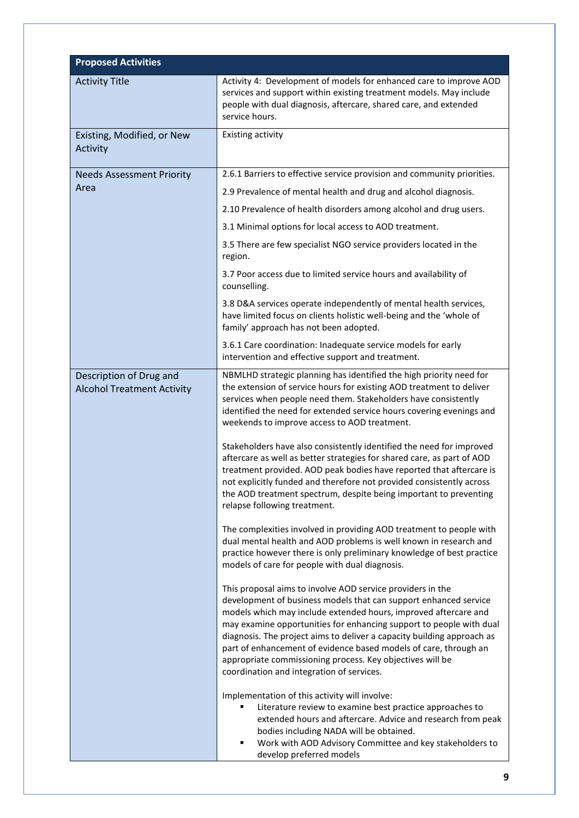| <b>Proposed Activities</b>                                   |                                                                                                                                                                                                                                                                                                                                                                                                                                                                                                                                  |
|--------------------------------------------------------------|----------------------------------------------------------------------------------------------------------------------------------------------------------------------------------------------------------------------------------------------------------------------------------------------------------------------------------------------------------------------------------------------------------------------------------------------------------------------------------------------------------------------------------|
| <b>Activity Title</b>                                        | Activity 4: Development of models for enhanced care to improve AOD<br>services and support within existing treatment models. May include<br>people with dual diagnosis, aftercare, shared care, and extended<br>service hours.                                                                                                                                                                                                                                                                                                   |
| Existing, Modified, or New<br>Activity                       | <b>Existing activity</b>                                                                                                                                                                                                                                                                                                                                                                                                                                                                                                         |
| <b>Needs Assessment Priority</b>                             | 2.6.1 Barriers to effective service provision and community priorities.                                                                                                                                                                                                                                                                                                                                                                                                                                                          |
| Area                                                         | 2.9 Prevalence of mental health and drug and alcohol diagnosis.                                                                                                                                                                                                                                                                                                                                                                                                                                                                  |
|                                                              | 2.10 Prevalence of health disorders among alcohol and drug users.                                                                                                                                                                                                                                                                                                                                                                                                                                                                |
|                                                              | 3.1 Minimal options for local access to AOD treatment.                                                                                                                                                                                                                                                                                                                                                                                                                                                                           |
|                                                              | 3.5 There are few specialist NGO service providers located in the<br>region.                                                                                                                                                                                                                                                                                                                                                                                                                                                     |
|                                                              | 3.7 Poor access due to limited service hours and availability of<br>counselling.                                                                                                                                                                                                                                                                                                                                                                                                                                                 |
|                                                              | 3.8 D&A services operate independently of mental health services,<br>have limited focus on clients holistic well-being and the 'whole of<br>family' approach has not been adopted.                                                                                                                                                                                                                                                                                                                                               |
|                                                              | 3.6.1 Care coordination: Inadequate service models for early<br>intervention and effective support and treatment.                                                                                                                                                                                                                                                                                                                                                                                                                |
| Description of Drug and<br><b>Alcohol Treatment Activity</b> | NBMLHD strategic planning has identified the high priority need for<br>the extension of service hours for existing AOD treatment to deliver<br>services when people need them. Stakeholders have consistently<br>identified the need for extended service hours covering evenings and<br>weekends to improve access to AOD treatment.                                                                                                                                                                                            |
|                                                              | Stakeholders have also consistently identified the need for improved<br>aftercare as well as better strategies for shared care, as part of AOD<br>treatment provided. AOD peak bodies have reported that aftercare is<br>not explicitly funded and therefore not provided consistently across<br>the AOD treatment spectrum, despite being important to preventing<br>relapse following treatment.                                                                                                                               |
|                                                              | The complexities involved in providing AOD treatment to people with<br>dual mental health and AOD problems is well known in research and<br>practice however there is only preliminary knowledge of best practice<br>models of care for people with dual diagnosis.                                                                                                                                                                                                                                                              |
|                                                              | This proposal aims to involve AOD service providers in the<br>development of business models that can support enhanced service<br>models which may include extended hours, improved aftercare and<br>may examine opportunities for enhancing support to people with dual<br>diagnosis. The project aims to deliver a capacity building approach as<br>part of enhancement of evidence based models of care, through an<br>appropriate commissioning process. Key objectives will be<br>coordination and integration of services. |
|                                                              | Implementation of this activity will involve:<br>Literature review to examine best practice approaches to<br>extended hours and aftercare. Advice and research from peak<br>bodies including NADA will be obtained.<br>Work with AOD Advisory Committee and key stakeholders to<br>Ξ<br>develop preferred models                                                                                                                                                                                                                 |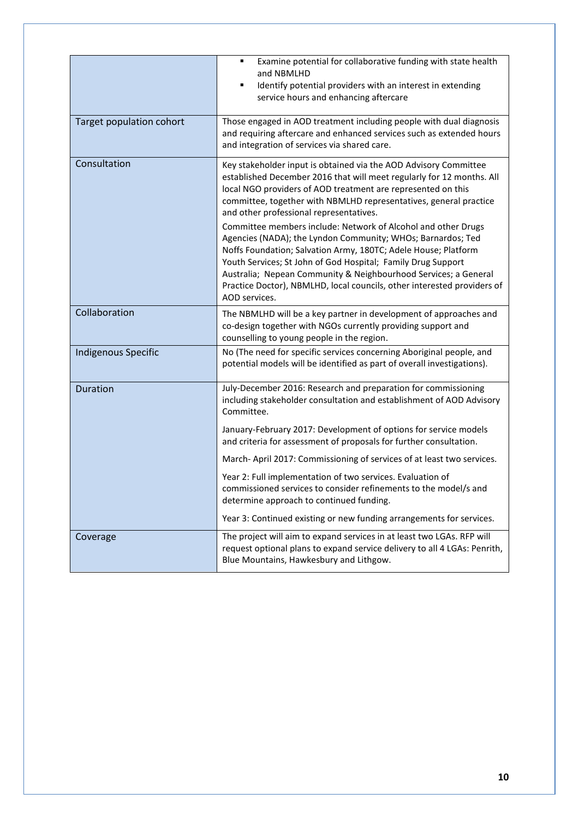|                            | Examine potential for collaborative funding with state health<br>and NBMLHD<br>Identify potential providers with an interest in extending<br>٠<br>service hours and enhancing aftercare                                                                                                                                                                                                                                       |
|----------------------------|-------------------------------------------------------------------------------------------------------------------------------------------------------------------------------------------------------------------------------------------------------------------------------------------------------------------------------------------------------------------------------------------------------------------------------|
| Target population cohort   | Those engaged in AOD treatment including people with dual diagnosis<br>and requiring aftercare and enhanced services such as extended hours<br>and integration of services via shared care.                                                                                                                                                                                                                                   |
| Consultation               | Key stakeholder input is obtained via the AOD Advisory Committee<br>established December 2016 that will meet regularly for 12 months. All<br>local NGO providers of AOD treatment are represented on this<br>committee, together with NBMLHD representatives, general practice<br>and other professional representatives.                                                                                                     |
|                            | Committee members include: Network of Alcohol and other Drugs<br>Agencies (NADA); the Lyndon Community; WHOs; Barnardos; Ted<br>Noffs Foundation; Salvation Army, 180TC; Adele House; Platform<br>Youth Services; St John of God Hospital; Family Drug Support<br>Australia; Nepean Community & Neighbourhood Services; a General<br>Practice Doctor), NBMLHD, local councils, other interested providers of<br>AOD services. |
| Collaboration              | The NBMLHD will be a key partner in development of approaches and<br>co-design together with NGOs currently providing support and<br>counselling to young people in the region.                                                                                                                                                                                                                                               |
| <b>Indigenous Specific</b> | No (The need for specific services concerning Aboriginal people, and<br>potential models will be identified as part of overall investigations).                                                                                                                                                                                                                                                                               |
| <b>Duration</b>            | July-December 2016: Research and preparation for commissioning<br>including stakeholder consultation and establishment of AOD Advisory<br>Committee.                                                                                                                                                                                                                                                                          |
|                            | January-February 2017: Development of options for service models<br>and criteria for assessment of proposals for further consultation.                                                                                                                                                                                                                                                                                        |
|                            | March-April 2017: Commissioning of services of at least two services.                                                                                                                                                                                                                                                                                                                                                         |
|                            | Year 2: Full implementation of two services. Evaluation of<br>commissioned services to consider refinements to the model/s and<br>determine approach to continued funding.                                                                                                                                                                                                                                                    |
|                            | Year 3: Continued existing or new funding arrangements for services.                                                                                                                                                                                                                                                                                                                                                          |
| Coverage                   | The project will aim to expand services in at least two LGAs. RFP will<br>request optional plans to expand service delivery to all 4 LGAs: Penrith,<br>Blue Mountains, Hawkesbury and Lithgow.                                                                                                                                                                                                                                |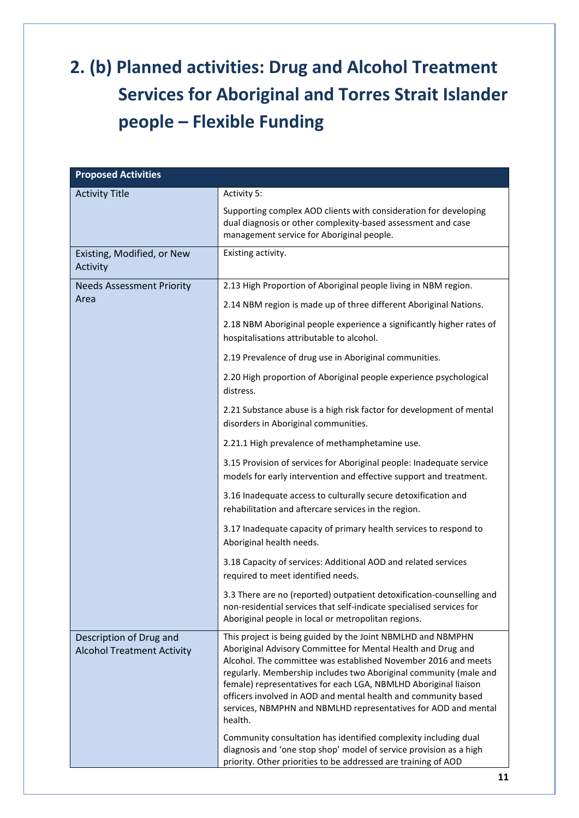### **2. (b) Planned activities: Drug and Alcohol Treatment Services for Aboriginal and Torres Strait Islander people – Flexible Funding**

| <b>Proposed Activities</b>                                   |                                                                                                                                                                                                                                                                                                                                                                                                                                                                                                                                                         |
|--------------------------------------------------------------|---------------------------------------------------------------------------------------------------------------------------------------------------------------------------------------------------------------------------------------------------------------------------------------------------------------------------------------------------------------------------------------------------------------------------------------------------------------------------------------------------------------------------------------------------------|
| <b>Activity Title</b>                                        | Activity 5:                                                                                                                                                                                                                                                                                                                                                                                                                                                                                                                                             |
|                                                              | Supporting complex AOD clients with consideration for developing<br>dual diagnosis or other complexity-based assessment and case<br>management service for Aboriginal people.                                                                                                                                                                                                                                                                                                                                                                           |
| Existing, Modified, or New<br>Activity                       | Existing activity.                                                                                                                                                                                                                                                                                                                                                                                                                                                                                                                                      |
| <b>Needs Assessment Priority</b>                             | 2.13 High Proportion of Aboriginal people living in NBM region.                                                                                                                                                                                                                                                                                                                                                                                                                                                                                         |
| Area                                                         | 2.14 NBM region is made up of three different Aboriginal Nations.                                                                                                                                                                                                                                                                                                                                                                                                                                                                                       |
|                                                              | 2.18 NBM Aboriginal people experience a significantly higher rates of<br>hospitalisations attributable to alcohol.                                                                                                                                                                                                                                                                                                                                                                                                                                      |
|                                                              | 2.19 Prevalence of drug use in Aboriginal communities.                                                                                                                                                                                                                                                                                                                                                                                                                                                                                                  |
|                                                              | 2.20 High proportion of Aboriginal people experience psychological<br>distress.                                                                                                                                                                                                                                                                                                                                                                                                                                                                         |
|                                                              | 2.21 Substance abuse is a high risk factor for development of mental<br>disorders in Aboriginal communities.                                                                                                                                                                                                                                                                                                                                                                                                                                            |
|                                                              | 2.21.1 High prevalence of methamphetamine use.                                                                                                                                                                                                                                                                                                                                                                                                                                                                                                          |
|                                                              | 3.15 Provision of services for Aboriginal people: Inadequate service<br>models for early intervention and effective support and treatment.                                                                                                                                                                                                                                                                                                                                                                                                              |
|                                                              | 3.16 Inadequate access to culturally secure detoxification and<br>rehabilitation and aftercare services in the region.                                                                                                                                                                                                                                                                                                                                                                                                                                  |
|                                                              | 3.17 Inadequate capacity of primary health services to respond to<br>Aboriginal health needs.                                                                                                                                                                                                                                                                                                                                                                                                                                                           |
|                                                              | 3.18 Capacity of services: Additional AOD and related services<br>required to meet identified needs.                                                                                                                                                                                                                                                                                                                                                                                                                                                    |
|                                                              | 3.3 There are no (reported) outpatient detoxification-counselling and<br>non-residential services that self-indicate specialised services for<br>Aboriginal people in local or metropolitan regions.                                                                                                                                                                                                                                                                                                                                                    |
| Description of Drug and<br><b>Alcohol Treatment Activity</b> | This project is being guided by the Joint NBMLHD and NBMPHN<br>Aboriginal Advisory Committee for Mental Health and Drug and<br>Alcohol. The committee was established November 2016 and meets<br>regularly. Membership includes two Aboriginal community (male and<br>female) representatives for each LGA, NBMLHD Aboriginal liaison<br>officers involved in AOD and mental health and community based<br>services, NBMPHN and NBMLHD representatives for AOD and mental<br>health.<br>Community consultation has identified complexity including dual |
|                                                              | diagnosis and 'one stop shop' model of service provision as a high<br>priority. Other priorities to be addressed are training of AOD                                                                                                                                                                                                                                                                                                                                                                                                                    |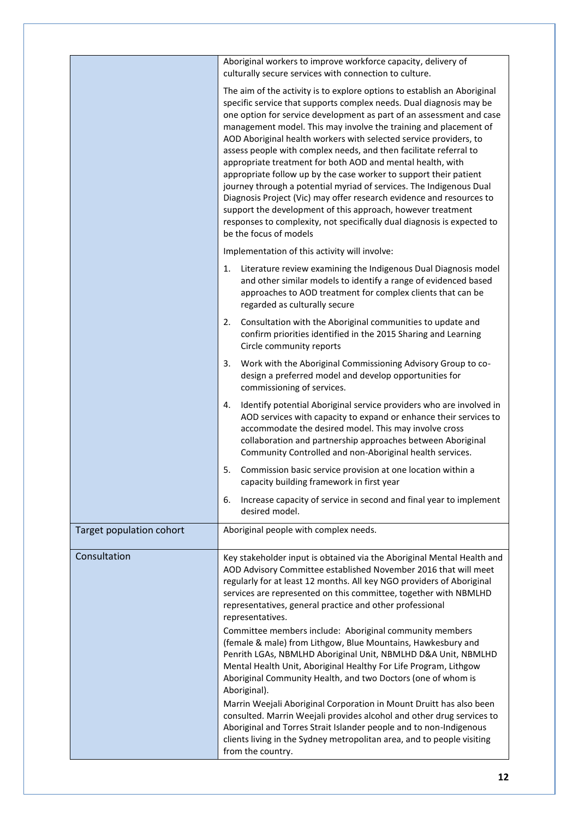|                          | Aboriginal workers to improve workforce capacity, delivery of<br>culturally secure services with connection to culture.                                                                                                                                                                                                                                                                                                                                                                                                                                                                                                                                                                                                                                                                                                                                                                     |
|--------------------------|---------------------------------------------------------------------------------------------------------------------------------------------------------------------------------------------------------------------------------------------------------------------------------------------------------------------------------------------------------------------------------------------------------------------------------------------------------------------------------------------------------------------------------------------------------------------------------------------------------------------------------------------------------------------------------------------------------------------------------------------------------------------------------------------------------------------------------------------------------------------------------------------|
|                          | The aim of the activity is to explore options to establish an Aboriginal<br>specific service that supports complex needs. Dual diagnosis may be<br>one option for service development as part of an assessment and case<br>management model. This may involve the training and placement of<br>AOD Aboriginal health workers with selected service providers, to<br>assess people with complex needs, and then facilitate referral to<br>appropriate treatment for both AOD and mental health, with<br>appropriate follow up by the case worker to support their patient<br>journey through a potential myriad of services. The Indigenous Dual<br>Diagnosis Project (Vic) may offer research evidence and resources to<br>support the development of this approach, however treatment<br>responses to complexity, not specifically dual diagnosis is expected to<br>be the focus of models |
|                          | Implementation of this activity will involve:                                                                                                                                                                                                                                                                                                                                                                                                                                                                                                                                                                                                                                                                                                                                                                                                                                               |
|                          | Literature review examining the Indigenous Dual Diagnosis model<br>1.<br>and other similar models to identify a range of evidenced based<br>approaches to AOD treatment for complex clients that can be<br>regarded as culturally secure                                                                                                                                                                                                                                                                                                                                                                                                                                                                                                                                                                                                                                                    |
|                          | 2.<br>Consultation with the Aboriginal communities to update and<br>confirm priorities identified in the 2015 Sharing and Learning<br>Circle community reports                                                                                                                                                                                                                                                                                                                                                                                                                                                                                                                                                                                                                                                                                                                              |
|                          | Work with the Aboriginal Commissioning Advisory Group to co-<br>3.<br>design a preferred model and develop opportunities for<br>commissioning of services.                                                                                                                                                                                                                                                                                                                                                                                                                                                                                                                                                                                                                                                                                                                                  |
|                          | Identify potential Aboriginal service providers who are involved in<br>4.<br>AOD services with capacity to expand or enhance their services to<br>accommodate the desired model. This may involve cross<br>collaboration and partnership approaches between Aboriginal<br>Community Controlled and non-Aboriginal health services.                                                                                                                                                                                                                                                                                                                                                                                                                                                                                                                                                          |
|                          | 5.<br>Commission basic service provision at one location within a<br>capacity building framework in first year                                                                                                                                                                                                                                                                                                                                                                                                                                                                                                                                                                                                                                                                                                                                                                              |
|                          | Increase capacity of service in second and final year to implement<br>6.<br>desired model.                                                                                                                                                                                                                                                                                                                                                                                                                                                                                                                                                                                                                                                                                                                                                                                                  |
| Target population cohort | Aboriginal people with complex needs.                                                                                                                                                                                                                                                                                                                                                                                                                                                                                                                                                                                                                                                                                                                                                                                                                                                       |
| Consultation             | Key stakeholder input is obtained via the Aboriginal Mental Health and<br>AOD Advisory Committee established November 2016 that will meet<br>regularly for at least 12 months. All key NGO providers of Aboriginal<br>services are represented on this committee, together with NBMLHD<br>representatives, general practice and other professional<br>representatives.                                                                                                                                                                                                                                                                                                                                                                                                                                                                                                                      |
|                          | Committee members include: Aboriginal community members<br>(female & male) from Lithgow, Blue Mountains, Hawkesbury and<br>Penrith LGAs, NBMLHD Aboriginal Unit, NBMLHD D&A Unit, NBMLHD<br>Mental Health Unit, Aboriginal Healthy For Life Program, Lithgow<br>Aboriginal Community Health, and two Doctors (one of whom is<br>Aboriginal).                                                                                                                                                                                                                                                                                                                                                                                                                                                                                                                                                |
|                          | Marrin Weejali Aboriginal Corporation in Mount Druitt has also been<br>consulted. Marrin Weejali provides alcohol and other drug services to<br>Aboriginal and Torres Strait Islander people and to non-Indigenous<br>clients living in the Sydney metropolitan area, and to people visiting<br>from the country.                                                                                                                                                                                                                                                                                                                                                                                                                                                                                                                                                                           |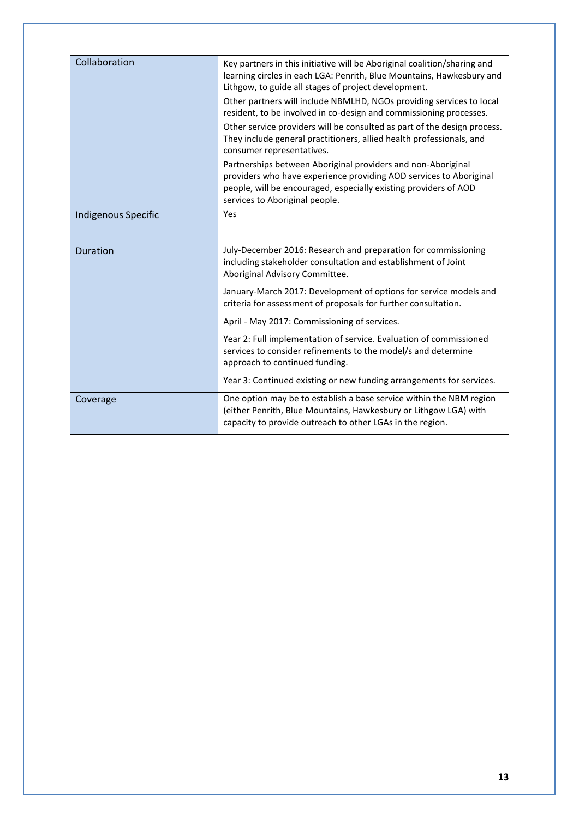| Collaboration              | Key partners in this initiative will be Aboriginal coalition/sharing and<br>learning circles in each LGA: Penrith, Blue Mountains, Hawkesbury and<br>Lithgow, to guide all stages of project development.                                |
|----------------------------|------------------------------------------------------------------------------------------------------------------------------------------------------------------------------------------------------------------------------------------|
|                            | Other partners will include NBMLHD, NGOs providing services to local<br>resident, to be involved in co-design and commissioning processes.                                                                                               |
|                            | Other service providers will be consulted as part of the design process.<br>They include general practitioners, allied health professionals, and<br>consumer representatives.                                                            |
|                            | Partnerships between Aboriginal providers and non-Aboriginal<br>providers who have experience providing AOD services to Aboriginal<br>people, will be encouraged, especially existing providers of AOD<br>services to Aboriginal people. |
| <b>Indigenous Specific</b> | Yes                                                                                                                                                                                                                                      |
| <b>Duration</b>            | July-December 2016: Research and preparation for commissioning<br>including stakeholder consultation and establishment of Joint<br>Aboriginal Advisory Committee.                                                                        |
|                            | January-March 2017: Development of options for service models and<br>criteria for assessment of proposals for further consultation.                                                                                                      |
|                            | April - May 2017: Commissioning of services.                                                                                                                                                                                             |
|                            | Year 2: Full implementation of service. Evaluation of commissioned<br>services to consider refinements to the model/s and determine<br>approach to continued funding.                                                                    |
|                            | Year 3: Continued existing or new funding arrangements for services.                                                                                                                                                                     |
| Coverage                   | One option may be to establish a base service within the NBM region<br>(either Penrith, Blue Mountains, Hawkesbury or Lithgow LGA) with<br>capacity to provide outreach to other LGAs in the region.                                     |